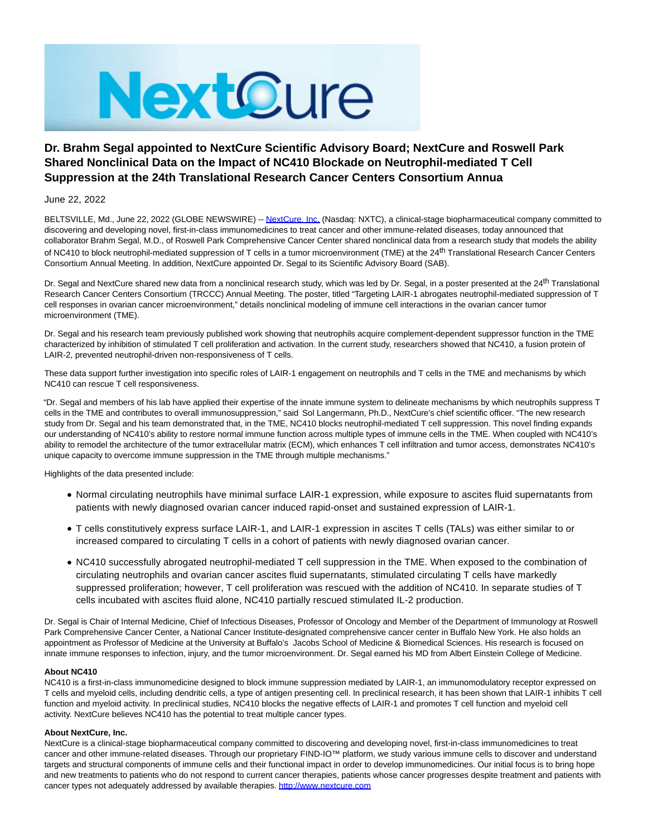

# **Dr. Brahm Segal appointed to NextCure Scientific Advisory Board; NextCure and Roswell Park Shared Nonclinical Data on the Impact of NC410 Blockade on Neutrophil-mediated T Cell Suppression at the 24th Translational Research Cancer Centers Consortium Annua**

June 22, 2022

BELTSVILLE, Md., June 22, 2022 (GLOBE NEWSWIRE) -- [NextCure, Inc. \(](https://www.globenewswire.com/Tracker?data=AeFkSnb1PKNg6Qp65VWt5QYDJqeO5tGzJSh3MuH9wzmmDgscPqskBYMn1fcIFUAolov6ocOE0OuLJEjqcXHixA==)Nasdaq: NXTC), a clinical-stage biopharmaceutical company committed to discovering and developing novel, first-in-class immunomedicines to treat cancer and other immune-related diseases, today announced that collaborator Brahm Segal, M.D., of Roswell Park Comprehensive Cancer Center shared nonclinical data from a research study that models the ability of NC410 to block neutrophil-mediated suppression of T cells in a tumor microenvironment (TME) at the 24th Translational Research Cancer Centers Consortium Annual Meeting. In addition, NextCure appointed Dr. Segal to its Scientific Advisory Board (SAB).

Dr. Segal and NextCure shared new data from a nonclinical research study, which was led by Dr. Segal, in a poster presented at the 24<sup>th</sup> Translational Research Cancer Centers Consortium (TRCCC) Annual Meeting. The poster, titled "Targeting LAIR-1 abrogates neutrophil-mediated suppression of T cell responses in ovarian cancer microenvironment," details nonclinical modeling of immune cell interactions in the ovarian cancer tumor microenvironment (TME).

Dr. Segal and his research team previously published work showing that neutrophils acquire complement-dependent suppressor function in the TME characterized by inhibition of stimulated T cell proliferation and activation. In the current study, researchers showed that NC410, a fusion protein of LAIR-2, prevented neutrophil-driven non-responsiveness of T cells.

These data support further investigation into specific roles of LAIR-1 engagement on neutrophils and T cells in the TME and mechanisms by which NC410 can rescue T cell responsiveness.

"Dr. Segal and members of his lab have applied their expertise of the innate immune system to delineate mechanisms by which neutrophils suppress T cells in the TME and contributes to overall immunosuppression," said Sol Langermann, Ph.D., NextCure's chief scientific officer. "The new research study from Dr. Segal and his team demonstrated that, in the TME, NC410 blocks neutrophil-mediated T cell suppression. This novel finding expands our understanding of NC410's ability to restore normal immune function across multiple types of immune cells in the TME. When coupled with NC410's ability to remodel the architecture of the tumor extracellular matrix (ECM), which enhances T cell infiltration and tumor access, demonstrates NC410's unique capacity to overcome immune suppression in the TME through multiple mechanisms."

Highlights of the data presented include:

- Normal circulating neutrophils have minimal surface LAIR-1 expression, while exposure to ascites fluid supernatants from patients with newly diagnosed ovarian cancer induced rapid-onset and sustained expression of LAIR-1.
- T cells constitutively express surface LAIR-1, and LAIR-1 expression in ascites T cells (TALs) was either similar to or increased compared to circulating T cells in a cohort of patients with newly diagnosed ovarian cancer.
- NC410 successfully abrogated neutrophil-mediated T cell suppression in the TME. When exposed to the combination of circulating neutrophils and ovarian cancer ascites fluid supernatants, stimulated circulating T cells have markedly suppressed proliferation; however, T cell proliferation was rescued with the addition of NC410. In separate studies of T cells incubated with ascites fluid alone, NC410 partially rescued stimulated IL-2 production.

Dr. Segal is Chair of Internal Medicine, Chief of Infectious Diseases, Professor of Oncology and Member of the Department of Immunology at Roswell Park Comprehensive Cancer Center, a National Cancer Institute-designated comprehensive cancer center in Buffalo New York. He also holds an appointment as Professor of Medicine at the University at Buffalo's Jacobs School of Medicine & Biomedical Sciences. His research is focused on innate immune responses to infection, injury, and the tumor microenvironment. Dr. Segal earned his MD from Albert Einstein College of Medicine.

## **About NC410**

NC410 is a first-in-class immunomedicine designed to block immune suppression mediated by LAIR-1, an immunomodulatory receptor expressed on T cells and myeloid cells, including dendritic cells, a type of antigen presenting cell. In preclinical research, it has been shown that LAIR-1 inhibits T cell function and myeloid activity. In preclinical studies, NC410 blocks the negative effects of LAIR-1 and promotes T cell function and myeloid cell activity. NextCure believes NC410 has the potential to treat multiple cancer types.

## **About NextCure, Inc.**

NextCure is a clinical-stage biopharmaceutical company committed to discovering and developing novel, first-in-class immunomedicines to treat cancer and other immune-related diseases. Through our proprietary FIND-IO™ platform, we study various immune cells to discover and understand targets and structural components of immune cells and their functional impact in order to develop immunomedicines. Our initial focus is to bring hope and new treatments to patients who do not respond to current cancer therapies, patients whose cancer progresses despite treatment and patients with cancer types not adequately addressed by available therapies. [http://www.nextcure.com](https://www.globenewswire.com/Tracker?data=gVv9eQISdZgyll0mL--WhsPibSkWSYfYhzmVHPIAkUlc1J2Ik7dzirRQm7c4oVsPGy5gTItz4IX_BmFTuAtkxg1narlaGR7A7ZJnHWCFzk0=)